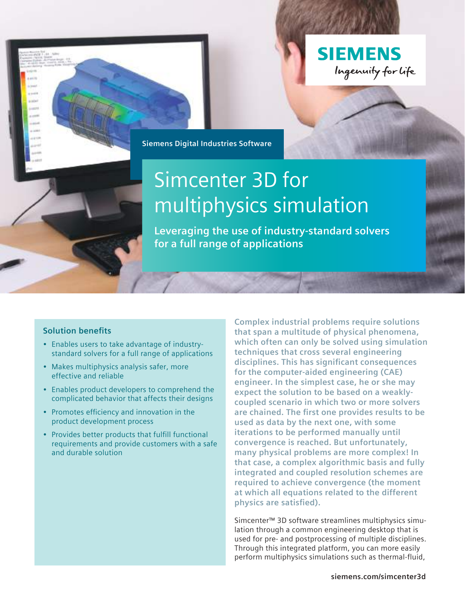

**Siemens Digital Industries Software**

# Simcenter 3D for multiphysics simulation

**Leveraging the use of industry-standard solvers for a full range of applications**

#### **Solution benefits**

- Enables users to take advantage of industrystandard solvers for a full range of applications
- Makes multiphysics analysis safer, more effective and reliable
- Enables product developers to comprehend the complicated behavior that affects their designs
- Promotes efficiency and innovation in the product development process
- Provides better products that fulfill functional requirements and provide customers with a safe and durable solution

**Complex industrial problems require solutions that span a multitude of physical phenomena, which often can only be solved using simulation techniques that cross several engineering disciplines. This has significant consequences for the computer-aided engineering (CAE) engineer. In the simplest case, he or she may expect the solution to be based on a weaklycoupled scenario in which two or more solvers are chained. The first one provides results to be used as data by the next one, with some iterations to be performed manually until convergence is reached. But unfortunately, many physical problems are more complex! In that case, a complex algorithmic basis and fully integrated and coupled resolution schemes are required to achieve convergence (the moment at which all equations related to the different physics are satisfied).**

Simcenter™ 3D software streamlines multiphysics simulation through a common engineering desktop that is used for pre- and postprocessing of multiple disciplines. Through this integrated platform, you can more easily perform multiphysics simulations such as thermal-fluid,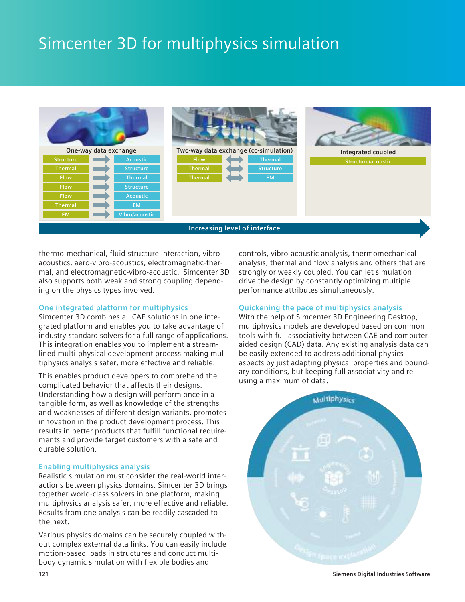# Simcenter 3D for multiphysics simulation



thermo-mechanical, fluid-structure interaction, vibroacoustics, aero-vibro-acoustics, electromagnetic-thermal, and electromagnetic-vibro-acoustic. Simcenter 3D also supports both weak and strong coupling depending on the physics types involved.

#### **One integrated platform for multiphysics**

Simcenter 3D combines all CAE solutions in one integrated platform and enables you to take advantage of industry-standard solvers for a full range of applications. This integration enables you to implement a streamlined multi-physical development process making multiphysics analysis safer, more effective and reliable.

This enables product developers to comprehend the complicated behavior that affects their designs. Understanding how a design will perform once in a tangible form, as well as knowledge of the strengths and weaknesses of different design variants, promotes innovation in the product development process. This results in better products that fulfill functional requirements and provide target customers with a safe and durable solution.

#### **Enabling multiphysics analysis**

Realistic simulation must consider the real-world interactions between physics domains. Simcenter 3D brings together world-class solvers in one platform, making multiphysics analysis safer, more effective and reliable. Results from one analysis can be readily cascaded to the next.

Various physics domains can be securely coupled without complex external data links. You can easily include motion-based loads in structures and conduct multibody dynamic simulation with flexible bodies and

controls, vibro-acoustic analysis, thermomechanical analysis, thermal and flow analysis and others that are strongly or weakly coupled. You can let simulation drive the design by constantly optimizing multiple performance attributes simultaneously.

#### **Quickening the pace of multiphysics analysis**

With the help of Simcenter 3D Engineering Desktop, multiphysics models are developed based on common tools with full associativity between CAE and computeraided design (CAD) data. Any existing analysis data can be easily extended to address additional physics aspects by just adapting physical properties and boundary conditions, but keeping full associativity and reusing a maximum of data.

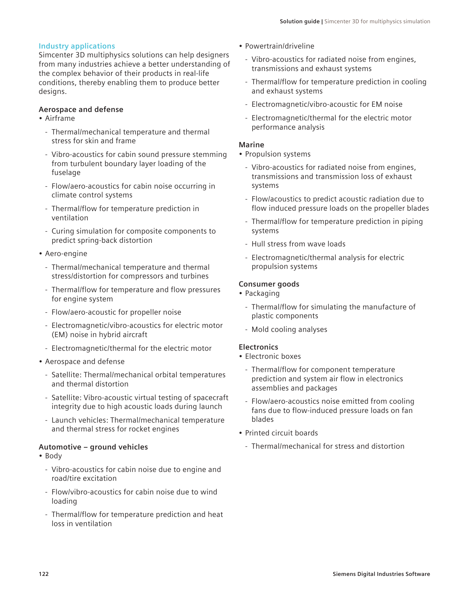#### **Industry applications**

Simcenter 3D multiphysics solutions can help designers from many industries achieve a better understanding of the complex behavior of their products in real-life conditions, thereby enabling them to produce better designs.

#### **Aerospace and defense**

#### • Airframe

- Thermal/mechanical temperature and thermal stress for skin and frame
- Vibro-acoustics for cabin sound pressure stemming from turbulent boundary layer loading of the fuselage
- Flow/aero-acoustics for cabin noise occurring in climate control systems
- Thermal/flow for temperature prediction in ventilation
- Curing simulation for composite components to predict spring-back distortion
- Aero-engine
	- Thermal/mechanical temperature and thermal stress/distortion for compressors and turbines
	- Thermal/flow for temperature and flow pressures for engine system
	- Flow/aero-acoustic for propeller noise
	- Electromagnetic/vibro-acoustics for electric motor (EM) noise in hybrid aircraft
	- Electromagnetic/thermal for the electric motor
- Aerospace and defense
	- Satellite: Thermal/mechanical orbital temperatures and thermal distortion
	- Satellite: Vibro-acoustic virtual testing of spacecraft integrity due to high acoustic loads during launch
	- Launch vehicles: Thermal/mechanical temperature and thermal stress for rocket engines

#### **Automotive – ground vehicles**

- Body
	- Vibro-acoustics for cabin noise due to engine and road/tire excitation
	- Flow/vibro-acoustics for cabin noise due to wind loading
	- Thermal/flow for temperature prediction and heat loss in ventilation
- Powertrain/driveline
	- Vibro-acoustics for radiated noise from engines, transmissions and exhaust systems
	- Thermal/flow for temperature prediction in cooling and exhaust systems
	- Electromagnetic/vibro-acoustic for EM noise
	- Electromagnetic/thermal for the electric motor performance analysis

#### **Marine**

- Propulsion systems
	- Vibro-acoustics for radiated noise from engines, transmissions and transmission loss of exhaust systems
	- Flow/acoustics to predict acoustic radiation due to flow induced pressure loads on the propeller blades
	- Thermal/flow for temperature prediction in piping systems
	- Hull stress from wave loads
	- Electromagnetic/thermal analysis for electric propulsion systems

#### **Consumer goods**

- Packaging
	- Thermal/flow for simulating the manufacture of plastic components
	- Mold cooling analyses

#### **Electronics**

- Electronic boxes
	- Thermal/flow for component temperature prediction and system air flow in electronics assemblies and packages
	- Flow/aero-acoustics noise emitted from cooling fans due to flow-induced pressure loads on fan blades
- Printed circuit boards
	- Thermal/mechanical for stress and distortion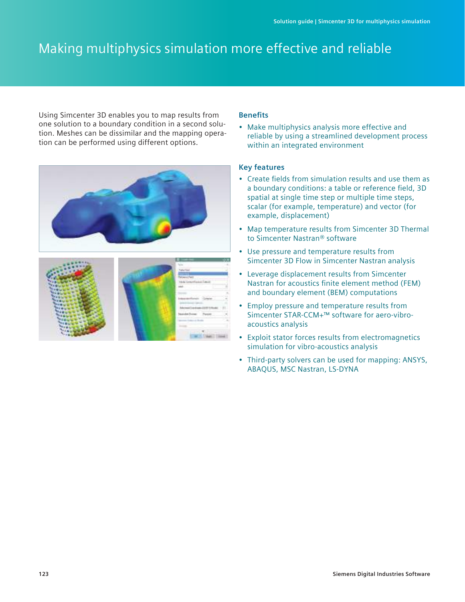# Making multiphysics simulation more effective and reliable

Using Simcenter 3D enables you to map results from one solution to a boundary condition in a second solution. Meshes can be dissimilar and the mapping operation can be performed using different options.





#### **Benefits**

• Make multiphysics analysis more effective and reliable by using a streamlined development process within an integrated environment

- Create fields from simulation results and use them as a boundary conditions: a table or reference field, 3D spatial at single time step or multiple time steps, scalar (for example, temperature) and vector (for example, displacement)
- Map temperature results from Simcenter 3D Thermal to Simcenter Nastran® software
- Use pressure and temperature results from Simcenter 3D Flow in Simcenter Nastran analysis
- Leverage displacement results from Simcenter Nastran for acoustics finite element method (FEM) and boundary element (BEM) computations
- Employ pressure and temperature results from Simcenter STAR-CCM+™ software for aero-vibroacoustics analysis
- Exploit stator forces results from electromagnetics simulation for vibro-acoustics analysis
- Third-party solvers can be used for mapping: ANSYS, ABAQUS, MSC Nastran, LS-DYNA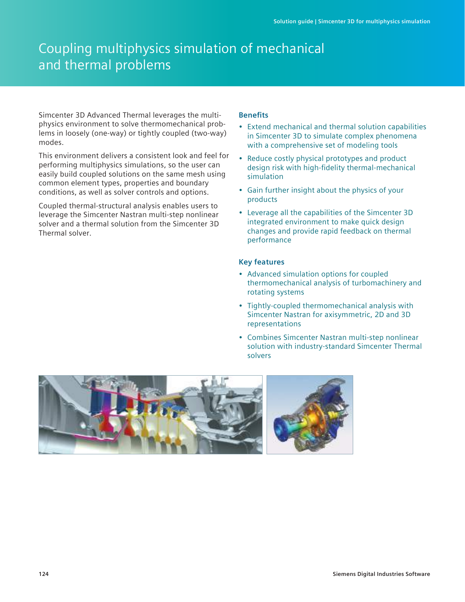## Coupling multiphysics simulation of mechanical and thermal problems

Simcenter 3D Advanced Thermal leverages the multiphysics environment to solve thermomechanical problems in loosely (one-way) or tightly coupled (two-way) modes.

This environment delivers a consistent look and feel for performing multiphysics simulations, so the user can easily build coupled solutions on the same mesh using common element types, properties and boundary conditions, as well as solver controls and options.

Coupled thermal-structural analysis enables users to leverage the Simcenter Nastran multi-step nonlinear solver and a thermal solution from the Simcenter 3D Thermal solver.

#### **Benefits**

- Extend mechanical and thermal solution capabilities in Simcenter 3D to simulate complex phenomena with a comprehensive set of modeling tools
- Reduce costly physical prototypes and product design risk with high-fidelity thermal-mechanical simulation
- Gain further insight about the physics of your products
- Leverage all the capabilities of the Simcenter 3D integrated environment to make quick design changes and provide rapid feedback on thermal performance

- Advanced simulation options for coupled thermomechanical analysis of turbomachinery and rotating systems
- Tightly-coupled thermomechanical analysis with Simcenter Nastran for axisymmetric, 2D and 3D representations
- Combines Simcenter Nastran multi-step nonlinear solution with industry-standard Simcenter Thermal solvers

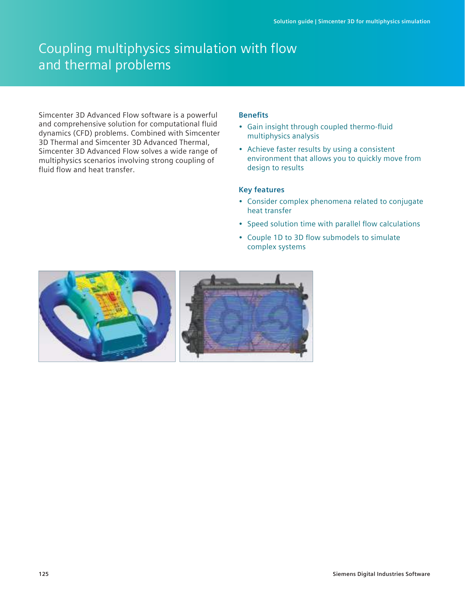## Coupling multiphysics simulation with flow and thermal problems

Simcenter 3D Advanced Flow software is a powerful and comprehensive solution for computational fluid dynamics (CFD) problems. Combined with Simcenter 3D Thermal and Simcenter 3D Advanced Thermal, Simcenter 3D Advanced Flow solves a wide range of multiphysics scenarios involving strong coupling of fluid flow and heat transfer.

#### **Benefits**

- Gain insight through coupled thermo-fluid multiphysics analysis
- Achieve faster results by using a consistent environment that allows you to quickly move from design to results

- Consider complex phenomena related to conjugate heat transfer
- Speed solution time with parallel flow calculations
- Couple 1D to 3D flow submodels to simulate complex systems

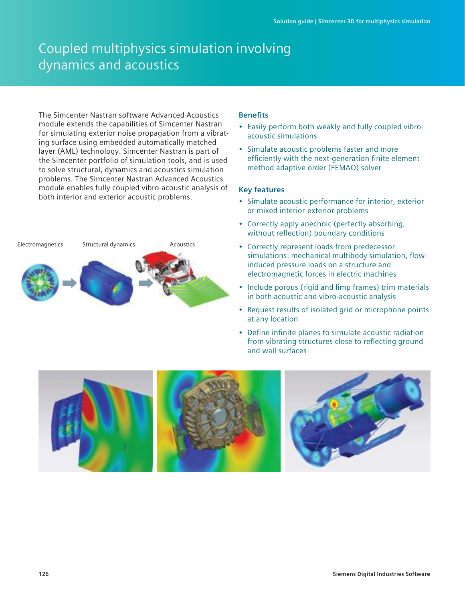# Coupled multiphysics simulation involving dynamics and acoustics

The Simcenter Nastran software Advanced Acoustics module extends the capabilities of Simcenter Nastran for simulating exterior noise propagation from a vibrating surface using embedded automatically matched layer (AML) technology. Simcenter Nastran is part of the Simcenter portfolio of simulation tools, and is used to solve structural, dynamics and acoustics simulation problems. The Simcenter Nastran Advanced Acoustics module enables fully coupled vibro-acoustic analysis of both interior and exterior acoustic problems.



#### **Benefits**

- Easily perform both weakly and fully coupled vibroacoustic simulations
- Simulate acoustic problems faster and more efficiently with the next-generation finite element method adaptive order (FEMAO) solver

- Simulate acoustic performance for interior, exterior or mixed interior-exterior problems
- Correctly apply anechoic (perfectly absorbing, without reflection) boundary conditions
- Correctly represent loads from predecessor simulations: mechanical multibody simulation, flowinduced pressure loads on a structure and electromagnetic forces in electric machines
- Include porous (rigid and limp frames) trim materials in both acoustic and vibro-acoustic analysis
- Request results of isolated grid or microphone points at any location
- Define infinite planes to simulate acoustic radiation from vibrating structures close to reflecting ground and wall surfaces

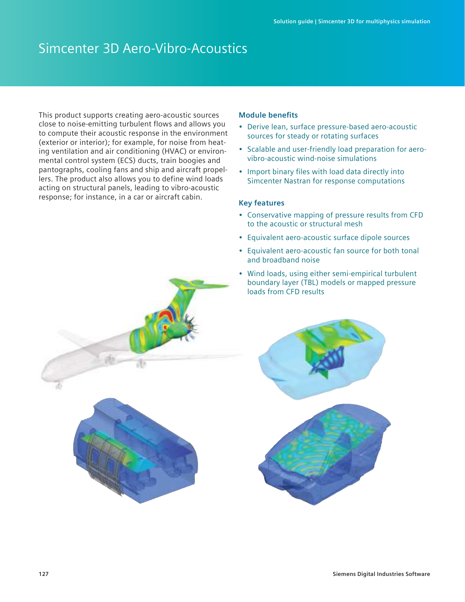### Simcenter 3D Aero-Vibro-Acoustics

This product supports creating aero-acoustic sources close to noise-emitting turbulent flows and allows you to compute their acoustic response in the environment (exterior or interior); for example, for noise from heating ventilation and air conditioning (HVAC) or environmental control system (ECS) ducts, train boogies and pantographs, cooling fans and ship and aircraft propellers. The product also allows you to define wind loads acting on structural panels, leading to vibro-acoustic response; for instance, in a car or aircraft cabin.

#### **Module benefits**

- Derive lean, surface pressure-based aero-acoustic sources for steady or rotating surfaces
- Scalable and user-friendly load preparation for aerovibro-acoustic wind-noise simulations
- Import binary files with load data directly into Simcenter Nastran for response computations

- Conservative mapping of pressure results from CFD to the acoustic or structural mesh
- Equivalent aero-acoustic surface dipole sources
- Equivalent aero-acoustic fan source for both tonal and broadband noise
- Wind loads, using either semi-empirical turbulent boundary layer (TBL) models or mapped pressure loads from CFD results



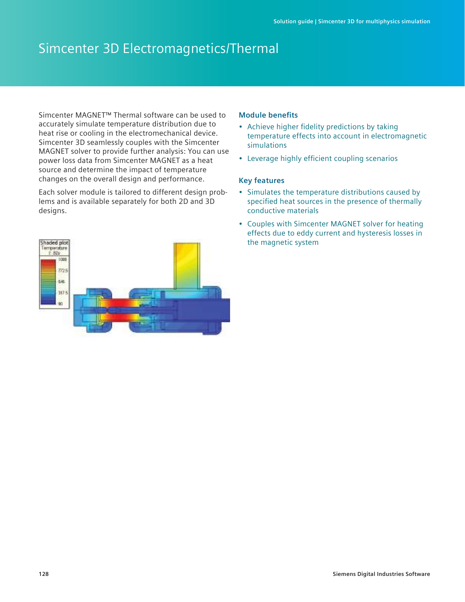### Simcenter 3D Electromagnetics/Thermal

Simcenter MAGNET™ Thermal software can be used to accurately simulate temperature distribution due to heat rise or cooling in the electromechanical device. Simcenter 3D seamlessly couples with the Simcenter MAGNET solver to provide further analysis: You can use power loss data from Simcenter MAGNET as a heat source and determine the impact of temperature changes on the overall design and performance.

Each solver module is tailored to different design problems and is available separately for both 2D and 3D designs.



#### **Module benefits**

- Achieve higher fidelity predictions by taking temperature effects into account in electromagnetic simulations
- Leverage highly efficient coupling scenarios

- Simulates the temperature distributions caused by specified heat sources in the presence of thermally conductive materials
- Couples with Simcenter MAGNET solver for heating effects due to eddy current and hysteresis losses in the magnetic system